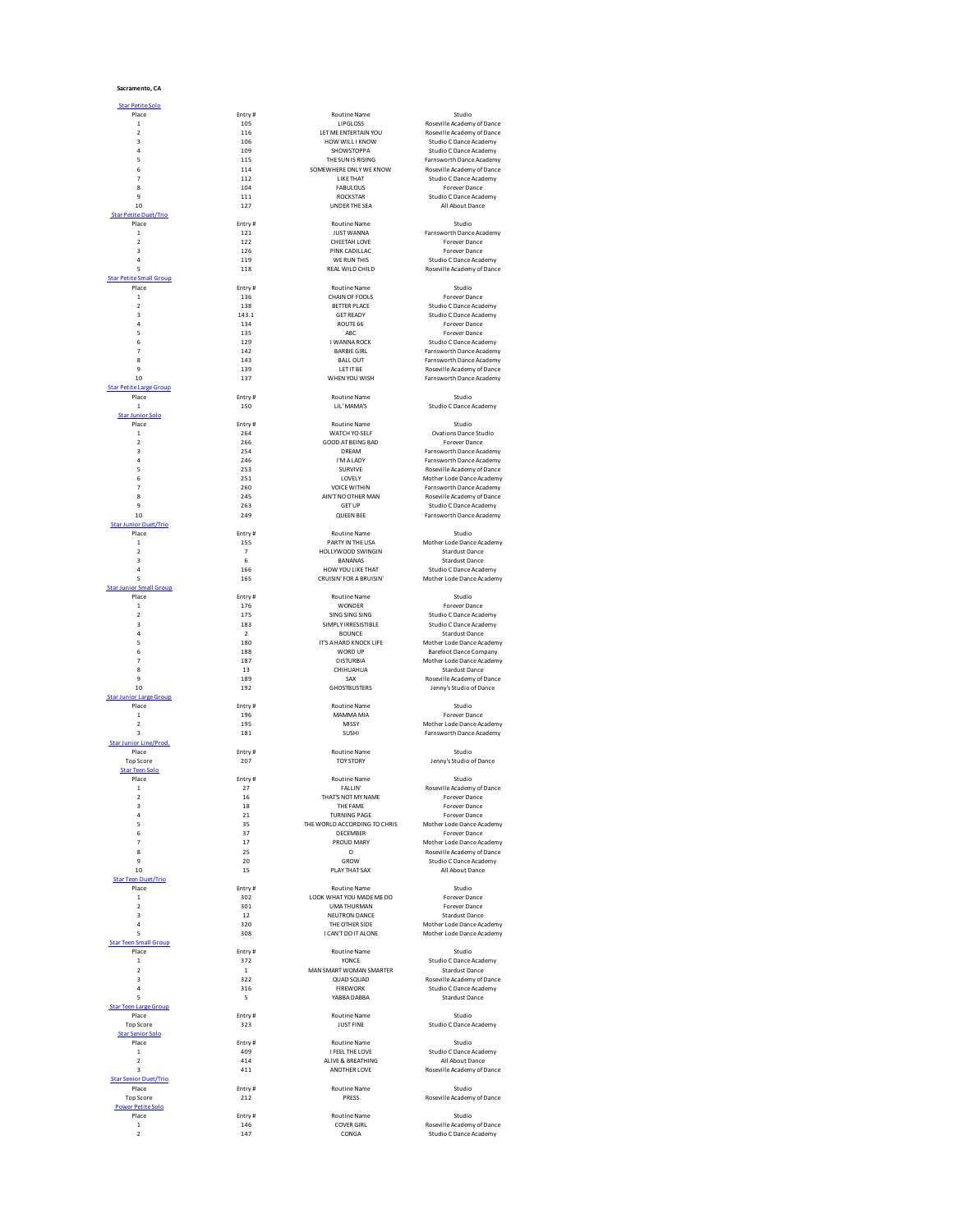| Entry#              | <b>Routine Name</b>                           |
|---------------------|-----------------------------------------------|
| 105<br>116          | LIPGLOSS<br>LET ME ENTERTAIN YO               |
| 106                 | HOW WILL I KNOW                               |
| 109                 | SHOWSTOPPA                                    |
| 115<br>114          | THE SUN IS RISING<br>SOMEWHERE ONLY WE KI     |
| 112                 | LIKE THAT                                     |
| 104                 | <b>FABULOUS</b>                               |
| 111<br>127          | <b>ROCKSTAR</b><br>UNDER THE SEA              |
|                     |                                               |
| Entry#<br>121       | <b>Routine Name</b><br><b>JUST WANNA</b>      |
| 122                 | CHEETAH LOVE                                  |
| 126<br>119          | PINK CADILLAC<br><b>WERUN THIS</b>            |
| 118                 | REAL WILD CHILD                               |
| Entry#              | <b>Routine Name</b>                           |
| 136                 | CHAIN OF FOOLS                                |
| 138<br>143.1        | BETTER PLACE                                  |
| 134                 | <b>GET READY</b><br>ROUTE 66                  |
| 135                 | ABC                                           |
| 129<br>142          | I WANNA ROCK<br><b>BARBIE GIRL</b>            |
| 143                 | <b>BALL OUT</b>                               |
| 139                 | LET IT BE                                     |
| 137                 | WHEN YOU WISH                                 |
| Entry#              | <b>Routine Name</b><br>LIL' MAMA'S            |
| 150                 |                                               |
| Entry#              | <b>Routine Name</b><br>WATCH YO-SELF          |
| 264<br>266          | GOOD AT BEING BAD                             |
| 254                 | DREAM                                         |
| 246<br>253          | I'M A LADY<br><b>SURVIVE</b>                  |
| 251                 | LOVELY                                        |
| 260                 | VOICE WITHIN                                  |
| 245<br>263          | AIN'T NO OTHER MAN<br>GFTUP                   |
| 249                 | <b>QUEEN BEE</b>                              |
| Entry#              | Routine Name                                  |
| 155                 | PARTY IN THE USA                              |
| $\overline{7}$<br>6 | HOLLYWOOD SWINGI<br><b>BANANAS</b>            |
| 166                 | HOW YOU LIKE THAT                             |
| 165                 | CRUISIN' FOR A BRUISII                        |
| Entry#              | <b>Routine Name</b>                           |
| 176                 | <b>WONDER</b>                                 |
| 175<br>183          | <b>SING SING SING</b><br>SIMPLY IRRESISTIBLE  |
| $\overline{2}$      | <b>BOUNCE</b>                                 |
| 180<br>188          | IT'S A HARD KNOCK LIF<br>WORD UP              |
| 187                 | <b>DISTURBIA</b>                              |
| 13                  | CHIHUAHUA                                     |
| 189<br>192          | SAX<br><b>GHOSTBUSTERS</b>                    |
|                     |                                               |
| Entry#<br>196       | <b>Routine Name</b><br>MAMMA MIA              |
| 195                 | MISSY                                         |
| 181                 | <b>SUSHI</b>                                  |
| Entry#              | <b>Routine Name</b>                           |
| 207                 | <b>TOY STORY</b>                              |
| Entry#              | <b>Routine Name</b>                           |
| 27<br>16            | FALLIN'<br>THAT'S NOT MY NAME                 |
| 18                  | THE FAME                                      |
| 21<br>35            | <b>TURNING PAGE</b><br>THE WORLD ACCORDING TO |
| 37                  | DECEMBER                                      |
| 17                  | PROUD MARY                                    |
| 25<br>20            | $\Omega$<br>GROW                              |
| 15                  | PLAY THAT SAX                                 |
| Entry#              | <b>Routine Name</b>                           |
| 302                 | LOOK WHAT YOU MADE M                          |
| 301<br>12           | UMA THURMAN<br><b>NEUTRON DANCE</b>           |
| 320                 | THE OTHER SIDE                                |
| 308                 | I CAN'T DO IT ALONE                           |
| Entry#              | <b>Routine Name</b>                           |
| 372<br>$\mathbf{1}$ | <b>YONCE</b>                                  |
| 322                 | MAN SMART WOMAN SMA<br>QUAD SQUAD             |
| 316                 | <b>FIREWORK</b>                               |
| 5                   | YABBA DABBA                                   |
| Entry#              | <b>Routine Name</b>                           |
| 323                 | <b>JUST FINE</b>                              |
| Entry#              | <b>Routine Name</b>                           |
| 409<br>414          | I FEEL THE LOVE<br>ALIVE & BREATHING          |
| 411                 | ANOTHER LOVE                                  |
| Entry#              | <b>Routine Name</b>                           |
| 212                 | PRESS                                         |
| Entry#              | <b>Routine Name</b>                           |
|                     |                                               |

## 104 FABULOUS FOREVERSITE PROCKSTAR STATE SEARCH 27<br>127 UNDER THE SEA All About Dance 9 111 ROCKSTAR Studio C Dance Academy 10 127 UNDER THE SEA All About Dance Place **Entry #** Entry # Routine Name **Name Studio** 1 121 JUST WANNA Farnsworth Dance Academy<br>122 122 CHEETAH LOVE Forever Dance<br>3 126 PINK CADILLAC Forever Dance 4 119 119 WORTHEN MINE MANNE 121<br>12 122 119 CHEETAH LOVE 122<br>126 PINK CADILLAC 16 Forever Dance<br>14 119 W. RANILLAC 5 Forever Dance<br>5 119 NEAL WILD CHILD<br>126 Notes (Cademy of Dan 1 136 CHAIN OF FOOLS Forever Dance 2 138 BETTER PLACE Studio C Dance Academy 3 143.1 GET READY Studio C Dance Academy<br>4 134 ROUTE 66 Forever Dance 4 134 ROUTE 66 Forever Dance<br>
134 ROUTE 66 Forever Dance<br>
135 ABC<br>
129 I WANNA ROCK Studio C Dance Acad 5 135 ABC Forever Dance 6 129 I WANNA ROCK Studio C Dance Academy 142 BARBIE GIRL Farnsworth Dance Academy<br>143 BALL OUT Farnsworth Dance Academy 8 143 - 143 BALL OUT Farnsworth Dance Academy<br>139 139 - 139 - LETT TBE Roseville Academy of Dance<br>10 - 137 - WHEN YOU WISH Farnsworth Dance Academy Place **Entry #** Entry # Routine Name **Name Studio** 1 150 LIL' MAMA'S Studio C Dance Academy Place Entry # Routine Name Studio 1 1 264 WATCH YO-SELF DURING BAND DIRECTOR CONTROL DESTRUCTION AND DURING BAND DIRECTOR ON A 266 CODD AT BEING BAD e 263 263 GET UP Studio C Dance Academy<br>10 249 249 QUEEN BEE Farnsworth Dance Academy 2 7 HOLLYWOOD SWINGIN Stardust Dance<br>2 6 BANANAS Stardust Dance <sup>3</sup> 6 BANANAS Stardust Dance<br>3 6 BANANAS Studio C Dance Academy YOU LIKE THAT 4 166 HOW YOU LIKE THAT Studio C Dance Academy Place Entry # Routine Name Studio<br>19 175 - SING WOMDER MONTE Studio<br>2 175 - SING SING STUDIO Chance 1 176 WONDER Forever Dance 2 175 SING SING SING Studio C Dance Academy 3 183 SIMPLY IRRESISTIBLE Studio C Dance Academy 4 2 BOUNCE Stardust Dance 5 180 ITS A HARD KNOCK LIFE Mother Lode Dance Academy<br>188 188 - WORD UP Barefoot Dance Company<br>187 - DISTURBIA Mother Lode Dance Academy<br>13 - CHIHUAHUA Stardust Dance 6 188 WORD UP Barefoot Dance Company 7 187 DISTURBIA Mother Lode Dance Academy 8 13 CHIHUAHUA Stardust Dance 9 189 189 SAX Roseville Academy of Dance<br>10 192 SHOSTBUSTERS Jenny's Studio of Dance 1 and Olace Unity# Entry# Routine Name Studio Studio<br>1 1966 - 1966 MAMMA MAMMA Forever Dance<br>2 195 - MISSY Mother Lode Dance A Place Entry # Routine Name Studio Top Score 207 TOY STORY Jenny's Studio of Dance Place Entry # Routine Name Studio 1 27 FALLIN' Roseville Academy of Dance

3 18 18 THE FAME Forever Dance 1 21<br>5 35 THE WORLD ACCORDING TO CHRIS Mother Lode Dance Academy<br>6 57 - DECEMBER DECEMBER DECEMBER<br>7 - PROUD MARY Mother Lode Dance Academy<br>7 - PROUD MARY Mother Lode Dance Academy 21 20<br>
8 25 THE VORIJO ACCORDING TO CHRIS<br>
23 26 DECROBER<br>
22 20<br>
22 CRD MONEY PROUD MARY<br>
22 CRD CRD MOSUME Academy of Dance Academy<br>
22 CRD CRD CRD STAUG C Dance Academy<br>
22 CRD CRD CRD STAUG C Dance Academy<br>
22 CRD CRD 9 20 GROW Studio C Dance Academy earl desire and the studio<br>Place entry # Routine Name<br>1 302 LOOK WHAT YOU MADE ME DO Forever Dance

1 1 202 LOOK WHAT YOU MADE MEDO<br>2 301 MMATHURMAN<br>3 301 MEUTRON DANCE Forever Dance<br>3 3 12 NEUTRON DANCE 2 301 UMA THURMAN Forever Dance 3 12 NEUTRON DANCE Stardust Dance 4 320 THE OTHER SIDE Mother Lode Dance Academy 5 308 I CAN'T DO IT ALONE Mother Lode Dance Academy

322 QUAD SQUAD Roseville Academy of Dance<br>316 FIREWORK Studio C Dance Academy 4 316 316 FIREWORK Studio C Dance Academy<br>5 5 Stardust Dance Academy

Putry # Routine Name<br>199 - Place The LOVE IFEEL THE LOVE 1 409 I FEEL THE LOVE Studio C Dance Academy

Poster American Studio Name Studio Studio Studio Studio Studio Studio Studio Studio Studio Studio Studio Studio Top Score 212 2008 PRESS Roseville Academy of Dance

Place **Entry #** Entry # Routine Name **Studio** Studio

Place Entry # Routine Name Studio 1 105 LIPGLOSS Roseville Academy of Dance 2 116 LET ME ENTERTAIN YOU Roseville Academy of Dance 3 106 HOW WILL I KNOW Studio C Dance Academy<br>4 109 SHOWSTOPPA Studio C Dance Academy<br>5 115 THE SUNIS RISING Farnsworth Dance Academy<br>114 SOMEWHERE ONLY WE KNOW Roseville Academy of Dance 4 109 109 SHOWSTOPPA Studio C Dance Academy<br>5 115 THE SUN IS RESUND IS RESUND TO A LOCE Academy of Dance<br>6 114 SOMEWHERE ONLY WE KNOW Roseville Academy of Dance 112 LIKE THAT Studio C Dance Academy<br>104 EARIHOUS FARIHOUS Forever Dance

Roseville Academy of Dance

# 3 254 DREAM Farnsworth Dance Academy 4 246 I'M A LADY Farnsworth Dance Academy 5 253 SURVIVE Roseville Academy of Dance 6 251 LOVELY Mother Lode Dance Academy 7 260 VOICE WITHIN Farnsworth Dance Academy 8 245 AIN'T NO OTHER MAN Roseville Academy of Dance Farnsworth Dance Academy

Place Entry # Routine Name Studio 1 155 PARTY IN THE USA Mother Lode Dance Academy Mother Lode Dance Academy

Jenny's Studio of Dance

2 195 195 MISSY MISSY Mother Lode Dance Academy<br>3 181 191 SUSHI SIMBA Farnsworth Dance Academy Farnsworth Dance Academy

10 C Bunce / Louis

Place Entry # Routine Name<br>1 372 / 372 YONCE Studio CDance Academy<br>2 1 MAN SMART WOMAN SMARTER Stardust Dance

Stardust Dance

Top Score 323 JUST FINE Studio C Dance Academy

2 414 ALIVE & BREATHING All About Dance 3 411 ANOTHER LOVE Roseville Academy of Dance

1 146 COVER GIRL Roseville Academy of Dance 2 147 CONGA Studio C Dance Academy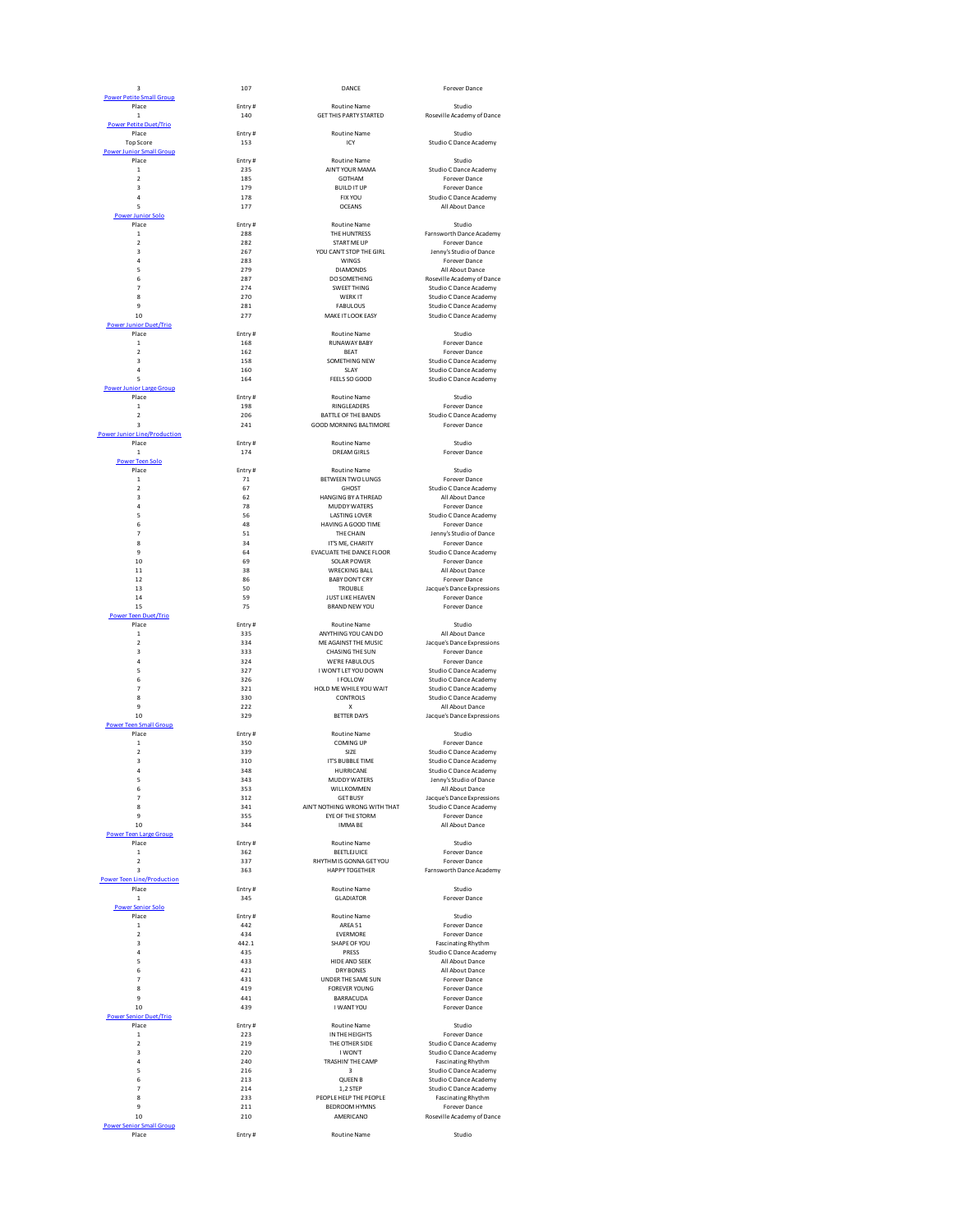

| $\overline{\mathbf{3}}$<br>ite Small Group   | 107           | DANCE                                                | Forever Dance                                        |
|----------------------------------------------|---------------|------------------------------------------------------|------------------------------------------------------|
| Place                                        | Entry#        | Routine Name                                         | Studio                                               |
| <sup>1</sup><br>etite Duet/Trio              | 140           | GET THIS PARTY STARTED                               | Roseville Academy of Dance                           |
| Place<br>p Score                             | Entry#<br>153 | Routine Name<br>ICY                                  | Studio<br>Studio C Dance Academy                     |
| ior Small Group<br>Place                     |               |                                                      |                                                      |
| <sup>1</sup>                                 | Entry#<br>235 | Routine Name<br>AIN'T YOUR MAMA                      | Studio<br>Studio C Dance Academy                     |
| $\overline{2}$<br>$\overline{\mathbf{3}}$    | 185<br>179    | GOTHAM<br>BUILD IT UP                                | Forever Dance<br>Forever Dance                       |
| $\overline{4}$                               | 178           | FIX YOU                                              | Studio C Dance Academy                               |
| 5<br><b>Junior Solo</b>                      | 177           | OCEANS                                               | All About Dance                                      |
| Place<br><sup>1</sup>                        | Entry#<br>288 | Routine Name<br>THE HUNTRESS                         | Studio<br>Farnsworth Dance Academy                   |
| $\overline{2}$                               | 282           | START ME UP                                          | Forever Dance                                        |
| $\overline{\mathbf{3}}$<br>$\overline{a}$    | 267<br>283    | YOU CAN'T STOP THE GIRL<br><b>WINGS</b>              | Jenny's Studio of Dance<br>Forever Dance             |
| 5                                            | 279           | <b>DIAMONDS</b>                                      | All About Dance                                      |
| 6<br>$\overline{7}$                          | 287<br>274    | DO SOMETHING<br>SWEET THING                          | Roseville Academy of Dance<br>Studio C Dance Academy |
| 8<br>9                                       | 270<br>281    | WERK IT<br>FABULOUS                                  | Studio C Dance Academy<br>Studio C Dance Academy     |
| 10                                           | 277           | MAKE IT LOOK EASY                                    | Studio C Dance Academy                               |
| nior Duet/Trio<br>Place                      | Entry#        | Routine Name                                         | Studio                                               |
| <sup>1</sup><br>$\overline{\phantom{a}}$     | 168<br>162    | RUNAWAY BABY<br><b>BEAT</b>                          | Forever Dance                                        |
| $\overline{\mathbf{3}}$                      | 158           | SOMETHING NEW                                        | Forever Dance<br>Studio C Dance Academy              |
| $\overline{4}$<br>5                          | 160<br>164    | SLAY<br>FEELS SO GOOD                                | Studio C Dance Academy<br>Studio C Dance Academy     |
| ior Large Group                              |               |                                                      |                                                      |
| Place<br><sup>1</sup>                        | Entry#<br>198 | Routine Name<br>RINGLEADERS                          | Studio<br>Forever Dance                              |
| $\overline{2}$                               | 206           | BATTLE OF THE BANDS<br><b>GOOD MORNING BALTIMORE</b> | Studio C Dance Academy                               |
| $\overline{\mathbf{3}}$<br>r Line/Production | 241           |                                                      | Forever Dance                                        |
| Place<br><sup>1</sup>                        | Entry#<br>174 | Routine Name<br>DREAM GIRLS                          | Studio<br>Forever Dance                              |
| r Teen Solo<br>Place                         | Entry#        | Routine Name                                         | Studio                                               |
| $\mathbf{1}$<br>$\overline{2}$               | 71<br>67      | BETWEEN TWO LUNGS<br><b>GHOST</b>                    | Forever Dance<br>Studio C Dance Academy              |
| 3                                            | 62            | HANGING BY A THREAD                                  | All About Dance                                      |
| 4<br>5                                       | 78<br>56      | MUDDY WATERS<br>LASTING LOVER                        | Forever Dance<br>Studio C Dance Academy              |
| 6                                            | 48            | HAVING A GOOD TIME                                   | Forever Dance                                        |
| $\overline{7}$<br>8                          | 51<br>34      | THE CHAIN<br>IT'S ME. CHARITY                        | Jenny's Studio of Dance<br>Forever Dance             |
| 9<br>10                                      | 64<br>69      | EVACUATE THE DANCE FLOOR<br><b>SOLAR POWER</b>       | Studio C Dance Academy<br>Forever Dance              |
| 11                                           | 38            | <b>WRECKING BALL</b>                                 | All About Dance                                      |
| 12<br>13                                     | 86<br>50      | BABY DON'T CRY<br>TROUBLE                            | Forever Dance<br>Jacque's Dance Expressions          |
| 14                                           | 59            | JUST LIKE HEAVEN                                     | Forever Dance                                        |
| 15<br>een Duet/Trio                          | 75            | BRAND NEW YOU                                        | Forever Dance                                        |
| Place                                        | Entry#<br>335 | Routine Name<br>ANYTHING YOU CAN DO                  | Studio<br>All About Dance                            |
| $\mathbf{1}$<br>$\overline{2}$               | 334           | ME AGAINST THE MUSIC                                 | Jacque's Dance Expressions                           |
| $\overline{\mathbf{3}}$<br>$\overline{4}$    | 333<br>324    | CHASING THE SUN<br>WE'RE FABULOUS                    | Forever Dance<br>Forever Dance                       |
| 5                                            | 327           | I WON'T LET YOU DOWN                                 | Studio C Dance Academy                               |
| 6<br>$\overline{7}$                          | 326<br>321    | <b>I FOLLOW</b><br>HOLD ME WHILE YOU WAIT            | Studio C Dance Academy<br>Studio C Dance Academy     |
| 8                                            | 330           | CONTROLS                                             | Studio C Dance Academy                               |
| q<br>10                                      | 222<br>329    | $\mathbf{x}$<br><b>BETTER DAYS</b>                   | All About Dance<br>Jacque's Dance Expressions        |
| en Small Group<br>Place                      | Fntry#        | <b>Routine Name</b>                                  | Studio                                               |
| $\overline{1}$                               | 350           | COMING UP                                            | Forever Dance                                        |
| $\overline{2}$<br>3                          | 339<br>310    | <b>SIZE</b><br><b>IT'S BUBBLE TIME</b>               | Studio C Dance Academy<br>Studio C Dance Academy     |
| 4<br>5                                       | 348           | HURRICANE                                            | Studio C Dance Academy                               |
| 6                                            | 343<br>353    | MUDDY WATERS<br>WILLKOMMEN                           | Jenny's Studio of Dance<br>All About Dance           |
| $\overline{7}$<br>8                          | 312<br>341    | <b>GET BUSY</b><br>AIN'T NOTHING WRONG WITH THAT     | Jacque's Dance Expressions<br>Studio C Dance Academy |
| 9                                            | 355           | <b>EYE OF THE STORM</b>                              | Forever Dance                                        |
| 10<br>en Large Group                         | 344           | <b>IMMABE</b>                                        | All About Dance                                      |
| Place<br>$\mathbf 1$                         | Entry#<br>362 | <b>Routine Name</b><br>BEETLEJUICE                   | Studio<br>Forever Dance                              |
| $\overline{\mathbf{2}}$                      | 337           | RHYTHM IS GONNA GET YOU                              | Forever Dance                                        |
| 3<br><b>Line/Production</b>                  | 363           | HAPPY TOGETHER                                       | Farnsworth Dance Academy                             |
| Place<br>1                                   | Entry#<br>345 | <b>Routine Name</b><br><b>GLADIATOR</b>              | Studio<br>Forever Dance                              |
| <b>Senior Solo</b>                           |               | <b>Routine Name</b>                                  |                                                      |
| Place<br>$\mathbf{1}$                        | Entry#<br>442 | AREA 51                                              | Studio<br>Forever Dance                              |
| $\overline{2}$<br>3                          | 434<br>442.1  | EVERMORE<br>SHAPE OF YOU                             | Forever Dance<br><b>Fascinating Rhythm</b>           |
| 4                                            | 435           | PRESS                                                | Studio C Dance Academy                               |
| 5<br>6                                       | 433<br>421    | HIDE AND SEEK<br><b>DRY BONES</b>                    | All About Dance<br>All About Dance                   |
| $\overline{7}$                               | 431           | UNDER THE SAME SUN                                   | Forever Dance                                        |
| 8<br>9                                       | 419<br>441    | <b>FOREVER YOUNG</b><br>BARRACUDA                    | Forever Dance<br>Forever Dance                       |
| 10<br>nior Duet/Trio                         | 439           | I WANT YOU                                           | Forever Dance                                        |
| Place                                        | Entry#        | Routine Name                                         | Studio                                               |
| $\mathbf 1$<br>$\overline{\mathbf{2}}$       | 223<br>219    | IN THE HEIGHTS<br>THE OTHER SIDE                     | Forever Dance<br>Studio C Dance Academy              |
| 3                                            | 220           | I WON'T                                              | Studio C Dance Academy                               |
| 4<br>5                                       | 240<br>216    | TRASHIN' THE CAMP<br>3                               | <b>Fascinating Rhythm</b><br>Studio C Dance Academy  |
| 6<br>$\overline{7}$                          | 213<br>214    | <b>QUEEN B</b><br>1.2 STEP                           | Studio C Dance Academy<br>Studio C Dance Academy     |
| 8                                            | 233           | PEOPLE HELP THE PEOPLE                               | <b>Fascinating Rhythm</b>                            |
| 9                                            | 211           | BEDROOM HYMNS                                        | Forever Dance                                        |

| <b>Petite Duet/Trio</b>  |        |                               |                               |
|--------------------------|--------|-------------------------------|-------------------------------|
| Place                    | Entry# | <b>Routine Name</b>           | Studio                        |
| Top Score                | 153    | <b>ICY</b>                    | <b>Studio C Dance Academy</b> |
|                          |        |                               |                               |
| nior Small Group         |        |                               |                               |
| Place                    | Entry# | <b>Routine Name</b>           | Studio                        |
| $\overline{1}$           | 235    | AIN'T YOUR MAMA               | Studio C Dance Academy        |
| $\overline{2}$           | 185    | GOTHAM                        | Forever Dance                 |
| $\overline{3}$           | 179    | <b>BUILD IT UP</b>            | Forever Dance                 |
|                          |        |                               |                               |
| $\overline{a}$           | 178    | FIX YOU                       | <b>Studio C Dance Academy</b> |
| 5                        | 177    | OCEANS                        | All About Dance               |
| er Junior Solo           |        |                               |                               |
| Place                    | Entry# | Routine Name                  | Studio                        |
|                          |        |                               |                               |
| $\overline{1}$           | 288    | THE HUNTRESS.                 | Farnsworth Dance Academy      |
| $\overline{2}$           | 282    | START ME UP                   | Forever Dance                 |
| $\overline{\mathbf{z}}$  | 267    | YOU CAN'T STOP THE GIRL       | Jenny's Studio of Dance       |
| $\overline{4}$           | 283    | WINGS                         | Forever Dance                 |
| 5                        |        |                               |                               |
|                          | 279    | <b>DIAMONDS</b>               | All About Dance               |
| 6                        | 287    | DO SOMETHING                  | Roseville Academy of Dance    |
| $\overline{7}$           | 274    | SWEET THING                   | Studio C Dance Academy        |
| $\mathbf{R}$             | 270    | WFRK IT                       | Studio C Dance Academy        |
| 9                        | 281    | FABULOUS                      |                               |
|                          |        |                               | Studio C Dance Academy        |
| 10                       | 277    | MAKE IT LOOK EASY             | Studio C Dance Academy        |
| lunior Duet/Trio         |        |                               |                               |
| Place                    | Entry# | Routine Name                  | Studio                        |
|                          |        |                               |                               |
| $\overline{1}$           | 168    | RUNAWAY BABY                  | Forever Dance                 |
| $\overline{2}$           | 162    | <b>BEAT</b>                   | Forever Dance                 |
| $\overline{3}$           | 158    | SOMETHING NEW                 | Studio C Dance Academy        |
| $\overline{4}$           | 160    | SLAY                          | Studio C Dance Academy        |
| 5                        | 164    | FEELS SO GOOD                 | <b>Studio C Dance Academy</b> |
|                          |        |                               |                               |
| nior Large Group         |        |                               |                               |
| Place                    | Entry# | <b>Routine Name</b>           | Studio                        |
| $\overline{1}$           | 198    | <b>RINGI FADERS</b>           | Forever Dance                 |
| $\overline{2}$           | 206    | BATTLE OF THE BANDS           | Studio C Dance Academy        |
|                          |        |                               |                               |
| $\overline{\mathbf{3}}$  | 241    | <b>GOOD MORNING BALTIMORE</b> | Forever Dance                 |
| ior Line/Production      |        |                               |                               |
| Place                    | Entry# | <b>Routine Name</b>           | Studio                        |
| $\overline{1}$           | 174    | <b>DREAM GIRLS</b>            | Forever Dance                 |
| ver Teen Solo            |        |                               |                               |
|                          |        |                               |                               |
| Place                    | Entry# | Routine Name                  | Studio                        |
| $\mathbf{1}$             | 71     | BETWEEN TWO LUNGS             | <b>Enrever Dance</b>          |
| $\overline{2}$           | 67     | <b>GHOST</b>                  | Studio C Dance Academy        |
| $\overline{\mathbf{3}}$  | 62     | HANGING BY A THREAD           | All About Dance               |
|                          | 78     |                               |                               |
| $\ddot{4}$               |        | MUDDY WATERS                  | Forever Dance                 |
| 5                        | 56     | LASTING LOVER                 | Studio C Dance Academy        |
| 6                        | 48     | HAVING A GOOD TIME            | Forever Dance                 |
| $\overline{7}$           | 51     | THE CHAIN                     | Jenny's Studio of Dance       |
| $\mathbf{g}$             | 34     | IT'S ME. CHARITY              | Forever Dance                 |
|                          |        |                               |                               |
| $\ddot{q}$               | 64     | EVACUATE THE DANCE FLOOR      | Studio C Dance Academy        |
| 10                       | 69     | SOLAR POWER                   | Forever Dance                 |
| 11                       | 38     | <b>WRECKING BALL</b>          | All About Dance               |
| 12                       | 86     | BABY DON'T CRY                | Forever Dance                 |
|                          | 50     | TROUBLE                       |                               |
| 13                       |        |                               | Jacque's Dance Expressions    |
| 14                       | 59     | JUST LIKE HEAVEN              | Forever Dance                 |
| 15                       | 75     | BRAND NEW YOU                 | Forever Dance                 |
| <b>Teen Duet/Trio</b>    |        |                               |                               |
| Place                    | Entry# | Routine Name                  | Studio                        |
|                          |        |                               |                               |
| $\overline{1}$           | 335    | ANYTHING YOU CAN DO           | All About Dance               |
| $\overline{2}$           | 334    | ME AGAINST THE MUSIC          | Jacque's Dance Expressions    |
| $\overline{3}$           | 333    | CHASING THE SUN               | Forever Dance                 |
| $\overline{4}$           | 324    | WE'RE FABULOUS                | Forever Dance                 |
|                          |        |                               |                               |
| $\overline{5}$           | 327    | I WON'T LET YOU DOWN          | Studio C Dance Academy        |
| 6                        | 326    | <b>LEOLLOW</b>                | Studio C Dance Academy        |
| $\overline{7}$           | 321    | HOLD ME WHILE YOU WAIT        | <b>Studio C Dance Academy</b> |
| $\mathbf{R}$             | 330    | CONTROLS                      | Studio C Dance Academy        |
| $\ddot{q}$               | 222    | $\mathbf{x}$                  | All About Dance               |
|                          |        |                               |                               |
| 10                       | 329    | <b>BETTER DAYS</b>            | Jacque's Dance Expressions    |
| een Small Group          |        |                               |                               |
| Place                    | Entry# | Routine Name                  | Studio                        |
| $\overline{1}$           | 350    | COMING UP                     | Forever Dance                 |
| $\overline{\phantom{a}}$ | 339    | SI <sub>7</sub> F             | Studio C Dance Academy        |
|                          |        |                               |                               |
| $\overline{\mathbf{z}}$  | 310    | IT'S BUBBLE TIME              | Studio C Dance Academy        |
| $\overline{4}$           | 348    | HURRICANE                     | Studio C Dance Academy        |
| 5                        | 343    | MUDDY WATERS                  | Jenny's Studio of Dance       |
| 6                        | 353    | WILLKOMMEN                    | All About Dance               |
|                          |        |                               |                               |
| $\overline{7}$           | 312    | <b>GET BUSY</b>               | Jacque's Dance Expressions    |
| $\mathbf{R}$             | 341    | AIN'T NOTHING WRONG WITH THAT | Studio C Dance Academy        |
| $\ddot{q}$               | 355    | EYE OF THE STORM              | Forever Dance                 |
| 10                       | 344    | <b>IMMABE</b>                 | All About Dance               |
| Feen Large Group         |        |                               |                               |
|                          |        |                               |                               |
| Place                    | Entry# | Routine Name                  | Studio                        |
| $\overline{1}$           | 362    | BEETLEJUICE                   | Forever Dance                 |
| $\overline{2}$           | 337    | RHYTHM IS GONNA GET YOU       | Forever Dance                 |
| $\overline{\mathbf{3}}$  | 363    | HAPPY TOGETHER                | Farnsworth Dance Academy      |
| n Line/Broduction        |        |                               |                               |

# 3 442.1 SHAPE OF YOU Fascinating Rhythm 4 435 PRESS Studio C Dance Academy 5 433 HIDE AND SEEK All About Dance

1 223 IN THE HEIGHTS Forever Dance<br>2 219 THE OTHER SIDE Studio C Dance Academy<br>3 220 220 I WON'T Studio C Dance Academy 4 240 TRASHIN' THE CAMP Fascinating Rhythm 5 216 3 Studio C Dance Academy 6 213 QUEEN B Studio C Dance Academy 7 214 1,2 STEP Studio C Dance Academy 8 233 PEOPLE HELP THE PEOPLE Fascinating Rhythm 9 211 2011 BEDROOM HYMNS Forever Dance 10 210 AMERICANO Roseville Academy of Dance

entry # Routine Name Name Studio

| i                | Rosevi         |
|------------------|----------------|
|                  | Studi<br>Studi |
|                  | Studi          |
|                  | Studi          |
|                  |                |
|                  |                |
|                  |                |
|                  | Studi<br>Studi |
|                  | Studi          |
|                  |                |
|                  |                |
| IDS              | Studi          |
| <b>IMORE</b>     |                |
|                  |                |
|                  |                |
|                  |                |
| ٧GS              | Studi          |
| EAD              | ŀ              |
| 5                |                |
| l<br>ME          | Studi          |
|                  | Jenn           |
| <b>FLOOR</b>     | Studi          |
|                  |                |
|                  | ŀ              |
|                  | Jacque         |
| J                |                |
|                  |                |
| I DO             | f              |
| USIC             | Jacque         |
| N                |                |
| s                |                |
| )WN              | Studi          |
| MAIT             | Studi<br>Studi |
|                  | Studi          |
|                  | f              |
|                  | Jacque         |
|                  |                |
|                  | Studi          |
| E                | Studi          |
|                  | Studi          |
| 5                | Jenn           |
|                  | f<br>Jacque    |
| VITH THAT        | Studi          |
| M                |                |
|                  | f              |
|                  |                |
| <b>YOU</b><br>ET |                |
| R                | Farns          |
|                  |                |
|                  |                |
|                  |                |
|                  |                |
|                  | Fas            |
|                  | Studi          |
|                  |                |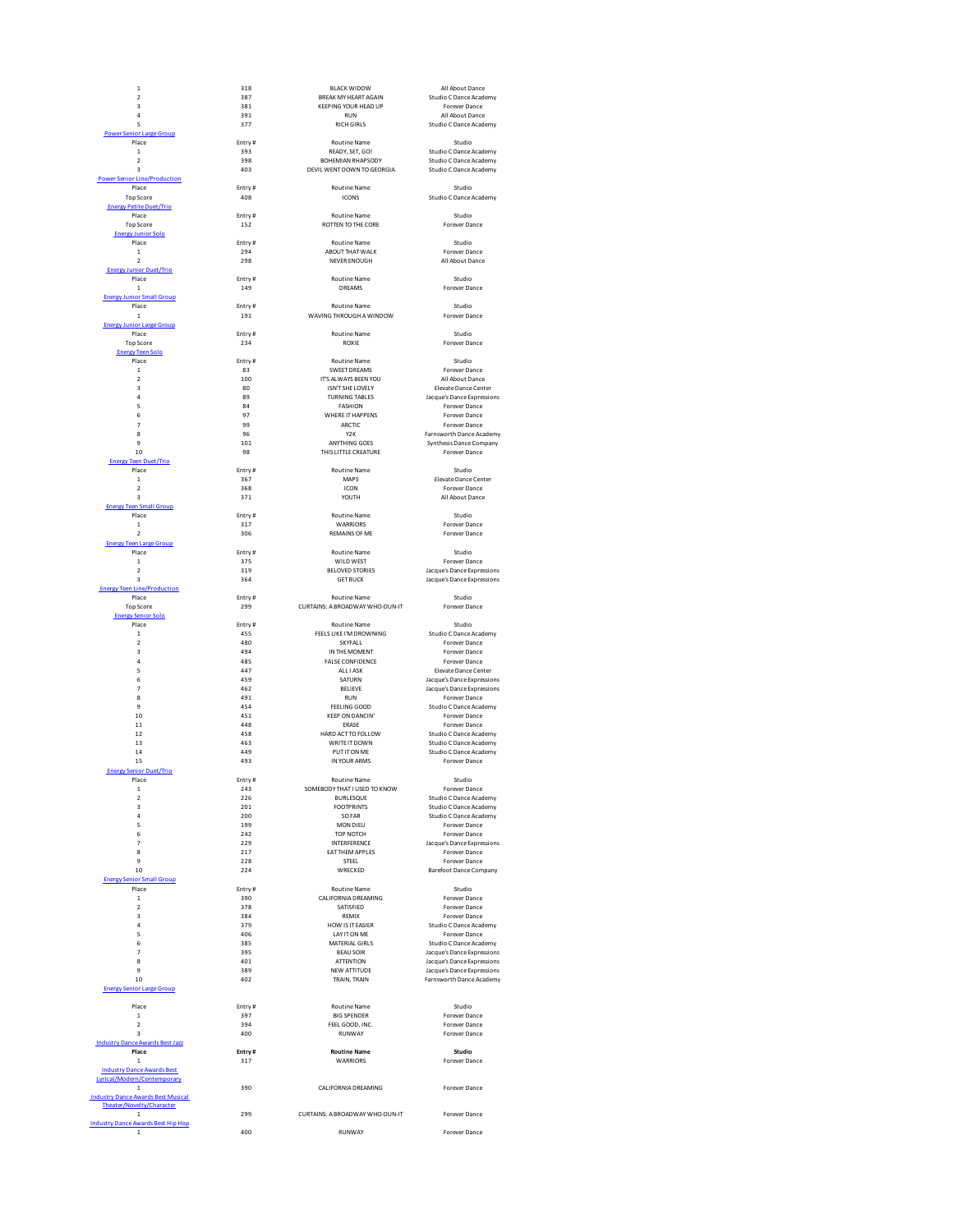

| $\mathbf{1}$<br>$\overline{2}$                            | 318<br>387    | <b>BI ACK WIDOW</b><br>BREAK MY HEART AGAIN         | All About Dance<br>Studio C Dance Academy                |
|-----------------------------------------------------------|---------------|-----------------------------------------------------|----------------------------------------------------------|
| $\overline{\mathbf{3}}$                                   | 381           | KEEPING YOUR HEAD UP                                | Forever Dance                                            |
| $\overline{a}$<br>5                                       | 391<br>377    | <b>RUN</b>                                          | All About Dance                                          |
| <b>Power Senior Large Group</b>                           |               | <b>RICH GIRLS</b>                                   | Studio C Dance Academy                                   |
| Place                                                     | Entry#        | <b>Routine Name</b>                                 | Studio                                                   |
| $\mathbf{1}$<br>$\overline{\mathbf{2}}$                   | 393<br>398    | READY, SET, GO!<br><b>BOHEMIAN RHAPSODY</b>         | Studio C Dance Academy<br>Studio C Dance Academy         |
| $\overline{\mathbf{3}}$                                   | 403           | DEVIL WENT DOWN TO GEORGIA                          | <b>Studio C Dance Academy</b>                            |
| <b>Power Senior Line/Production</b>                       |               |                                                     |                                                          |
| Place<br><b>Top Score</b>                                 | Entry#<br>408 | <b>Routine Name</b><br><b>ICONS</b>                 | Studio<br>Studio C Dance Academy                         |
| <b>Energy Petite Duet/Trio</b>                            |               |                                                     |                                                          |
| Place                                                     | Entry#        | <b>Routine Name</b>                                 | Studio                                                   |
| <b>Top Score</b><br><b>Energy Junior Solo</b>             | 152           | ROTTEN TO THE CORE                                  | Forever Dance                                            |
| Place                                                     | Entry#        | <b>Routine Name</b>                                 | Studio                                                   |
| $\mathbf 1$<br>$\overline{2}$                             | 294<br>298    | ABOUT THAT WALK<br>NEVER ENOUGH                     | <b>Forever Dance</b><br>All About Dance                  |
| <b>Energy Junior Duet/Trio</b>                            |               |                                                     |                                                          |
| Place                                                     | Entry#        | <b>Routine Name</b>                                 | Studio                                                   |
| $\mathbf{1}$<br><b>Energy Junior Small Group</b>          | 149           | <b>DREAMS</b>                                       | Forever Dance                                            |
| Place                                                     | Entry#        | <b>Routine Name</b>                                 | Studio                                                   |
| $\overline{1}$                                            | 191           | WAVING THROUGH A WINDOW                             | Forever Dance                                            |
| <b>Energy Junior Large Group</b><br>Place                 | Entry#        | <b>Routine Name</b>                                 | Studio                                                   |
| <b>Top Score</b>                                          | 234           | ROXIE                                               | <b>Forever Dance</b>                                     |
| <b>Energy Teen Solo</b><br>Place                          | Entry#        | <b>Routine Name</b>                                 | Studio                                                   |
| $\mathbf{1}$                                              | 83            | <b>SWEET DREAMS</b>                                 | <b>Forever Dance</b>                                     |
| $\overline{2}$                                            | 100           | IT'S ALWAYS BEEN YOU                                | All About Dance                                          |
| 3<br>$\overline{a}$                                       | 80<br>89      | ISN'T SHE LOVELY<br><b>TURNING TABLES</b>           | Elevate Dance Center<br>Jacque's Dance Expressions       |
| 5                                                         | 84            | <b>FASHION</b>                                      | Forever Dance                                            |
| 6                                                         | 97            | WHERE IT HAPPENS                                    | Forever Dance                                            |
| $\overline{7}$<br>8                                       | 99<br>96      | ARCTIC<br>Y <sub>2</sub> K                          | <b>Forever Dance</b><br>Farnsworth Dance Academy         |
| 9                                                         | 101           | ANYTHING GOES                                       | Synthesis Dance Company                                  |
| 10                                                        | 98            | THIS LITTLE CREATURE                                | <b>Forever Dance</b>                                     |
| <b>Energy Teen Duet/Trio</b><br>Place                     | Entry#        | <b>Routine Name</b>                                 | Studio                                                   |
| $\mathbf{1}$                                              | 367           | <b>MAPS</b>                                         | Elevate Dance Center                                     |
| $\overline{\phantom{a}}$                                  | 368           | <b>ICON</b>                                         | Forever Dance                                            |
| $\overline{\mathbf{3}}$<br><b>Energy Teen Small Group</b> | 371           | <b>YOUTH</b>                                        | All About Dance                                          |
| Place                                                     | Entry#        | <b>Routine Name</b>                                 | Studio                                                   |
| $\mathbf{1}$                                              | 317           | WARRIORS                                            | Forever Dance                                            |
| $\overline{2}$<br><b>Energy Teen Large Group</b>          | 306           | <b>REMAINS OF ME</b>                                | <b>Forever Dance</b>                                     |
| Place                                                     | Entry#        | <b>Routine Name</b>                                 | Studio                                                   |
| $\mathbf 1$                                               | 375           | WILD WEST                                           | Forever Dance                                            |
| $\mathbf 2$<br>$\overline{\mathbf{3}}$                    | 319<br>364    | <b>BELOVED STORIES</b><br><b>GFT BUCK</b>           | Jacque's Dance Expressions<br>Jacque's Dance Expressions |
| <b>Energy Teen Line/Production</b>                        |               |                                                     |                                                          |
| Place                                                     | Entry#        | <b>Routine Name</b>                                 | Studio                                                   |
| <b>Top Score</b><br><b>Energy Senior Solo</b>             | 299           | CURTAINS: A BROADWAY WHO-DUN-IT                     | Forever Dance                                            |
| Place                                                     | Entry#        | Routine Name                                        | Studio                                                   |
| $\mathbf{1}$                                              | 455           | FEELS LIKE I'M DROWNING                             | Studio C Dance Academy                                   |
| $\overline{\mathbf{2}}$<br>3                              | 480<br>494    | SKYFALL<br>IN THE MOMENT                            | <b>Forever Dance</b><br>Forever Dance                    |
| $\overline{a}$                                            | 485           | <b>FALSE CONFIDENCE</b>                             | Forever Dance                                            |
| 5<br>6                                                    | 447<br>459    | <b>ALL I ASK</b><br>SATURN                          | Elevate Dance Center                                     |
| $\overline{7}$                                            | 462           | <b>BELIEVE</b>                                      | Jacque's Dance Expressions<br>Jacque's Dance Expressions |
| 8                                                         | 491           | <b>RUN</b>                                          | Forever Dance                                            |
| 9<br>10                                                   | 454<br>451    | FEELING GOOD<br><b>KEEP ON DANCIN'</b>              | Studio C Dance Academy                                   |
| 11                                                        | 448           | ERASE                                               | Forever Dance<br><b>Forever Dance</b>                    |
| 12                                                        | 458           | HARD ACT TO FOLLOW                                  | <b>Studio C Dance Academy</b>                            |
| 13<br>14                                                  | 463<br>449    | WRITE IT DOWN<br>PUT IT ON ME                       | Studio C Dance Academy<br>Studio C Dance Academy         |
| 15                                                        | 493           | IN YOUR ARMS                                        | <b>Enrever Dance</b>                                     |
| or Duet/Trin<br><b>Energy S</b>                           |               |                                                     |                                                          |
| Place<br>$\mathbf{1}$                                     | Entry#<br>243 | <b>Routine Name</b><br>SOMEBODY THAT I USED TO KNOW | Studio<br>Forever Dance                                  |
| $\overline{\mathbf{2}}$                                   | 226           | <b>BURLESQUE</b>                                    | Studio C Dance Academy                                   |
| $\overline{\mathbf{3}}$                                   | 201           | <b>FOOTPRINTS</b><br>SO FAR                         | Studio C Dance Academy                                   |
| $\ddot{a}$<br>5                                           | 200<br>199    | MON DIFU                                            | Studio C Dance Academy<br>Forever Dance                  |
| 6                                                         | 242           | TOP NOTCH                                           | Forever Dance                                            |
| $\overline{7}$<br>$\mathbf{R}$                            | 229<br>217    | <b>INTERFERENCE</b><br><b>FATTHEM APPLES</b>        | Jacque's Dance Expressions                               |
| 9                                                         | 228           | STEEL                                               | Forever Dance<br>Forever Dance                           |
| 10                                                        | 224           | WRFCKFD                                             | <b>Barefoot Dance Company</b>                            |
| <b>Energy Senior Small Group</b><br>Place                 | Entry#        | <b>Routine Name</b>                                 | Studio                                                   |
| $\mathbf 1$                                               | 390           | CALIFORNIA DREAMING                                 | Forever Dance                                            |
| $\overline{2}$                                            | 378           | SATISFIED                                           | Forever Dance                                            |
| 3<br>4                                                    | 384<br>379    | REMIX<br>HOW IS IT EASIER                           | Forever Dance<br>Studio C Dance Academy                  |
| 5                                                         | 406           | LAY IT ON ME                                        | Forever Dance                                            |
| 6                                                         | 385           | MATERIAL GIRLS                                      | Studio C Dance Academy                                   |
| $\overline{7}$<br>$\mathbf{R}$                            | 395<br>401    | <b>BEAU SOIR</b><br><b>ATTENTION</b>                | Jacque's Dance Expressions<br>Jacque's Dance Expressions |
| 9                                                         | 389           | NEW ATTITUDE                                        | Jacque's Dance Expressions                               |
| 10                                                        | 402           | TRAIN, TRAIN                                        | Farnsworth Dance Academy                                 |
| <b>Energy Senior Large Group</b>                          |               |                                                     |                                                          |
| Place                                                     | Entry#        | Routine Name                                        | Studio                                                   |
| $\mathbf{1}$                                              | 397           | <b>BIG SPENDER</b>                                  | Forever Dance                                            |
| $\overline{\phantom{a}}$<br>$\overline{\mathbf{3}}$       | 394<br>400    | FEEL GOOD. INC.<br>RUNWAY                           | <b>Forever Dance</b><br>Forever Dance                    |
| <b>Industry Dance Awards Best Jazz</b>                    |               |                                                     |                                                          |
| Place<br>$\mathbf{1}$                                     | Entry#        | <b>Routine Name</b><br>WARRIORS                     | Studio                                                   |
| <b>Industry Dance Awards Best</b>                         | 317           |                                                     | Forever Dance                                            |
| Lyrical/Modern/Contemporary                               |               |                                                     |                                                          |
| $\mathbf{1}$<br><b>Industry Dance Awards Best Musical</b> | 390           | CALIFORNIA DREAMING                                 | <b>Forever Dance</b>                                     |
| Theater/Novelty/Character                                 |               |                                                     |                                                          |
| $\mathbf{1}$                                              | 299           | CURTAINS: A BROADWAY WHO-DUN-IT                     | Forever Dance                                            |
| <b>Industry Dance Awards Best Hip Hop</b><br>$\mathbf 1$  | 400           | RUNWAY                                              | Forever Dance                                            |
|                                                           |               |                                                     |                                                          |

| Studio                                         |
|------------------------------------------------|
| <b>Forever Dance</b>                           |
| Studio                                         |
| Forever Dance                                  |
| All About Dance                                |
|                                                |
| Studio                                         |
| <b>Forever Dance</b>                           |
|                                                |
| Studio                                         |
| <b>Forever Dance</b>                           |
| Studio                                         |
| Forever Dance                                  |
|                                                |
| Studio                                         |
| Forever Dance                                  |
| All About Dance                                |
| Elevate Dance Center                           |
| Jacque's Dance Expressio                       |
| Forever Dance                                  |
| Forever Dance                                  |
| Forever Dance                                  |
| Farnsworth Dance Acader                        |
| Synthesis Dance Compar                         |
| Forever Dance                                  |
| Studio                                         |
| Elevate Dance Center                           |
| Forever Dance                                  |
| All About Dance                                |
|                                                |
| Studio                                         |
| Forever Dance                                  |
| Forever Dance                                  |
|                                                |
|                                                |
| Studio                                         |
| Forever Dance                                  |
| Jacque's Dance Expressio                       |
| Jacque's Dance Expressio                       |
| Studio                                         |
| Forever Dance                                  |
|                                                |
| Studio                                         |
| Studio C Dance Academ                          |
| Forever Dance                                  |
| Forever Dance                                  |
| Forever Dance                                  |
| Elevate Dance Center                           |
| Jacque's Dance Expressio                       |
| Jacque's Dance Expressio                       |
| Forever Dance<br>Studio C Dance Academ         |
| Forever Dance                                  |
| Forever Dance                                  |
| Studio C Dance Academ                          |
| Studio C Dance Academ                          |
| Studio C Dance Academ                          |
| Forever Dance                                  |
|                                                |
| Studio                                         |
| Forever Dance                                  |
| Studio C Dance Academ                          |
| Studio C Dance Academ<br>Studio C Dance Academ |
| Forever Dance                                  |
| Forever Dance                                  |
| Jacque's Dance Expressio                       |
| Forever Dance                                  |
| Forever Dance<br><b>Barefoot Dance Compar</b>  |

| Jacque's Dance Expressions |  |  |  |
|----------------------------|--|--|--|
| Jacque's Dance Expressions |  |  |  |
| Jacque's Dance Expressions |  |  |  |
| Farnsworth Dance Academy   |  |  |  |
|                            |  |  |  |
|                            |  |  |  |
| Studio                     |  |  |  |
|                            |  |  |  |
| <b>Forever Dance</b>       |  |  |  |
| <b>Forever Dance</b>       |  |  |  |
| <b>Forever Dance</b>       |  |  |  |
|                            |  |  |  |
| Studio                     |  |  |  |
| <b>Enrever Dance</b>       |  |  |  |
|                            |  |  |  |
|                            |  |  |  |
| <b>Forever Dance</b>       |  |  |  |
|                            |  |  |  |

| <b>Forever Dance</b>    |
|-------------------------|
| udio C Dance Academy    |
| <b>Forever Dance</b>    |
| <b>Forever Dance</b>    |
| udio C Dance Academy    |
| udio C Dance Academy    |
| udio C Dance Academy    |
| <b>Forever Dance</b>    |
|                         |
| Studio                  |
| <b>Forever Dance</b>    |
| udio C Dance Academy    |
| udio C Dance Academy    |
| udio C Dance Academy    |
| <b>Forever Dance</b>    |
| <b>Forever Dance</b>    |
| que's Dance Expressions |
| <b>Forever Dance</b>    |
| <b>Forever Dance</b>    |
| refoot Dance Company    |
|                         |
|                         |